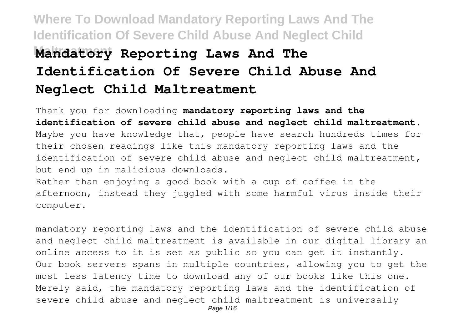# **Where To Download Mandatory Reporting Laws And The Identification Of Severe Child Abuse And Neglect Child Mandatory Reporting Laws And The Identification Of Severe Child Abuse And Neglect Child Maltreatment**

Thank you for downloading **mandatory reporting laws and the identification of severe child abuse and neglect child maltreatment**. Maybe you have knowledge that, people have search hundreds times for their chosen readings like this mandatory reporting laws and the identification of severe child abuse and neglect child maltreatment, but end up in malicious downloads.

Rather than enjoying a good book with a cup of coffee in the afternoon, instead they juggled with some harmful virus inside their computer.

mandatory reporting laws and the identification of severe child abuse and neglect child maltreatment is available in our digital library an online access to it is set as public so you can get it instantly. Our book servers spans in multiple countries, allowing you to get the most less latency time to download any of our books like this one. Merely said, the mandatory reporting laws and the identification of severe child abuse and neglect child maltreatment is universally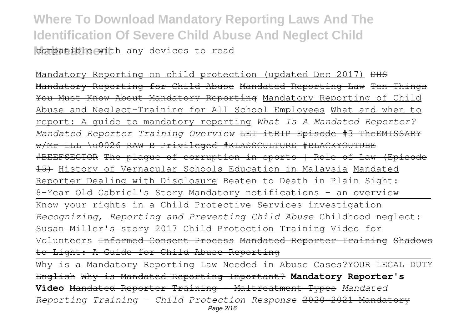### **Where To Download Mandatory Reporting Laws And The Identification Of Severe Child Abuse And Neglect Child** compatible with any devices to read

Mandatory Reporting on child protection (updated Dec 2017) <del>DHS</del> Mandatory Reporting for Child Abuse Mandated Reporting Law Ten Things You Must Know About Mandatory Reporting Mandatory Reporting of Child Abuse and Neglect-Training for All School Employees What and when to report: A guide to mandatory reporting *What Is A Mandated Reporter? Mandated Reporter Training Overview* LET itRIP Episode #3 TheEMISSARY w/Mr LLL \u0026 RAW B Privileged #KLASSCULTURE #BLACKYOUTUBE #BEEFSECTOR The plague of corruption in sports | Role of Law (Episode 15) History of Vernacular Schools Education in Malaysia Mandated Reporter Dealing with Disclosure Beaten to Death in Plain Sight: 8-Year Old Gabriel's Story Mandatory notifications - an overview Know your rights in a Child Protective Services investigation *Recognizing, Reporting and Preventing Child Abuse* Childhood neglect: Susan Miller's story 2017 Child Protection Training Video for Volunteers Informed Consent Process Mandated Reporter Training Shadows to Light: A Guide for Child Abuse Reporting

Why is a Mandatory Reporting Law Needed in Abuse Cases? YOUR LEGAL DUTY English Why is Mandated Reporting Important? **Mandatory Reporter's Video** Mandated Reporter Training - Maltreatment Types *Mandated Reporting Training - Child Protection Response* 2020-2021 Mandatory Page 2/16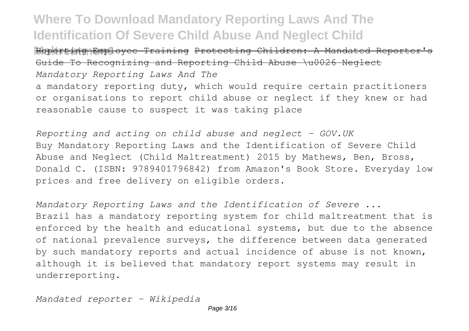**Maltreatment** Reporting Employee Training Protecting Children: A Mandated Reporter's Guide To Recognizing and Reporting Child Abuse \u0026 Neglect *Mandatory Reporting Laws And The* a mandatory reporting duty, which would require certain practitioners or organisations to report child abuse or neglect if they knew or had reasonable cause to suspect it was taking place

*Reporting and acting on child abuse and neglect - GOV.UK* Buy Mandatory Reporting Laws and the Identification of Severe Child Abuse and Neglect (Child Maltreatment) 2015 by Mathews, Ben, Bross, Donald C. (ISBN: 9789401796842) from Amazon's Book Store. Everyday low prices and free delivery on eligible orders.

*Mandatory Reporting Laws and the Identification of Severe ...* Brazil has a mandatory reporting system for child maltreatment that is enforced by the health and educational systems, but due to the absence of national prevalence surveys, the difference between data generated by such mandatory reports and actual incidence of abuse is not known, although it is believed that mandatory report systems may result in underreporting.

*Mandated reporter - Wikipedia*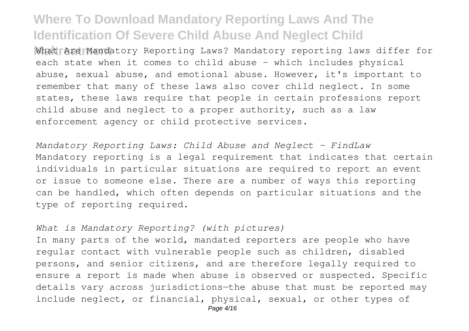**Maltreatment** What Are Mandatory Reporting Laws? Mandatory reporting laws differ for each state when it comes to child abuse – which includes physical abuse, sexual abuse, and emotional abuse. However, it's important to remember that many of these laws also cover child neglect. In some states, these laws require that people in certain professions report child abuse and neglect to a proper authority, such as a law enforcement agency or child protective services.

*Mandatory Reporting Laws: Child Abuse and Neglect - FindLaw* Mandatory reporting is a legal requirement that indicates that certain individuals in particular situations are required to report an event or issue to someone else. There are a number of ways this reporting can be handled, which often depends on particular situations and the type of reporting required.

### *What is Mandatory Reporting? (with pictures)*

In many parts of the world, mandated reporters are people who have regular contact with vulnerable people such as children, disabled persons, and senior citizens, and are therefore legally required to ensure a report is made when abuse is observed or suspected. Specific details vary across jurisdictions—the abuse that must be reported may include neglect, or financial, physical, sexual, or other types of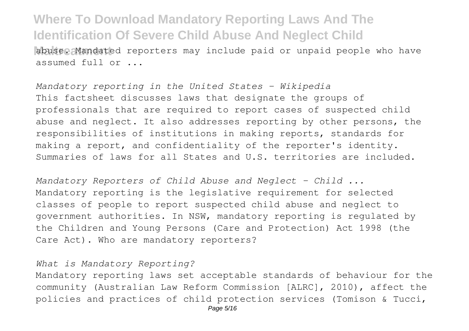**Abuse. Mandated reporters may include paid or unpaid people who have** assumed full or ...

*Mandatory reporting in the United States - Wikipedia* This factsheet discusses laws that designate the groups of professionals that are required to report cases of suspected child abuse and neglect. It also addresses reporting by other persons, the responsibilities of institutions in making reports, standards for making a report, and confidentiality of the reporter's identity. Summaries of laws for all States and U.S. territories are included.

*Mandatory Reporters of Child Abuse and Neglect - Child ...* Mandatory reporting is the legislative requirement for selected classes of people to report suspected child abuse and neglect to government authorities. In NSW, mandatory reporting is regulated by the Children and Young Persons (Care and Protection) Act 1998 (the Care Act). Who are mandatory reporters?

*What is Mandatory Reporting?*

Mandatory reporting laws set acceptable standards of behaviour for the community (Australian Law Reform Commission [ALRC], 2010), affect the policies and practices of child protection services (Tomison & Tucci,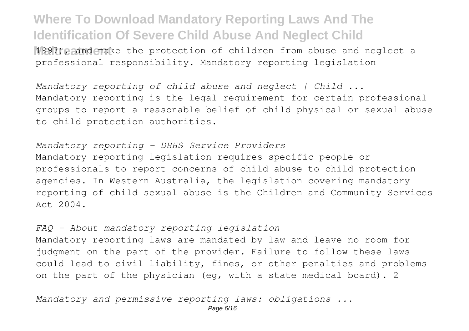**Maltreatment** 1997), and make the protection of children from abuse and neglect a professional responsibility. Mandatory reporting legislation

*Mandatory reporting of child abuse and neglect | Child ...* Mandatory reporting is the legal requirement for certain professional groups to report a reasonable belief of child physical or sexual abuse to child protection authorities.

### *Mandatory reporting - DHHS Service Providers*

Mandatory reporting legislation requires specific people or professionals to report concerns of child abuse to child protection agencies. In Western Australia, the legislation covering mandatory reporting of child sexual abuse is the Children and Community Services Act 2004.

### *FAQ - About mandatory reporting legislation*

Mandatory reporting laws are mandated by law and leave no room for judgment on the part of the provider. Failure to follow these laws could lead to civil liability, fines, or other penalties and problems on the part of the physician (eg, with a state medical board). 2

*Mandatory and permissive reporting laws: obligations ...*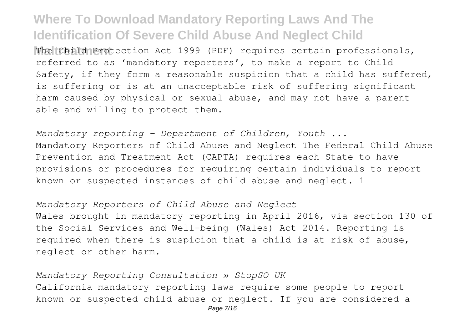**Maltreatment** The Child Protection Act 1999 (PDF) requires certain professionals, referred to as 'mandatory reporters', to make a report to Child Safety, if they form a reasonable suspicion that a child has suffered, is suffering or is at an unacceptable risk of suffering significant harm caused by physical or sexual abuse, and may not have a parent able and willing to protect them.

*Mandatory reporting - Department of Children, Youth ...* Mandatory Reporters of Child Abuse and Neglect The Federal Child Abuse Prevention and Treatment Act (CAPTA) requires each State to have provisions or procedures for requiring certain individuals to report known or suspected instances of child abuse and neglect. 1

*Mandatory Reporters of Child Abuse and Neglect* Wales brought in mandatory reporting in April 2016, via section 130 of the Social Services and Well-being (Wales) Act 2014. Reporting is required when there is suspicion that a child is at risk of abuse, neglect or other harm.

*Mandatory Reporting Consultation » StopSO UK* California mandatory reporting laws require some people to report known or suspected child abuse or neglect. If you are considered a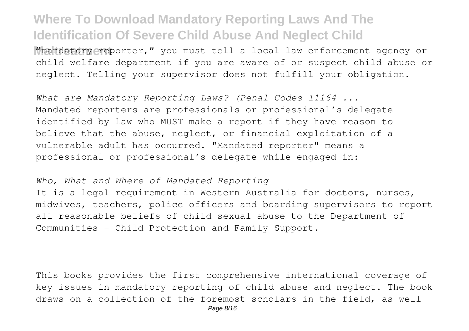**Mmandatory reporter,"** you must tell a local law enforcement agency or child welfare department if you are aware of or suspect child abuse or neglect. Telling your supervisor does not fulfill your obligation.

*What are Mandatory Reporting Laws? (Penal Codes 11164 ...* Mandated reporters are professionals or professional's delegate identified by law who MUST make a report if they have reason to believe that the abuse, neglect, or financial exploitation of a vulnerable adult has occurred. "Mandated reporter" means a professional or professional's delegate while engaged in:

#### *Who, What and Where of Mandated Reporting*

It is a legal requirement in Western Australia for doctors, nurses, midwives, teachers, police officers and boarding supervisors to report all reasonable beliefs of child sexual abuse to the Department of Communities - Child Protection and Family Support.

This books provides the first comprehensive international coverage of key issues in mandatory reporting of child abuse and neglect. The book draws on a collection of the foremost scholars in the field, as well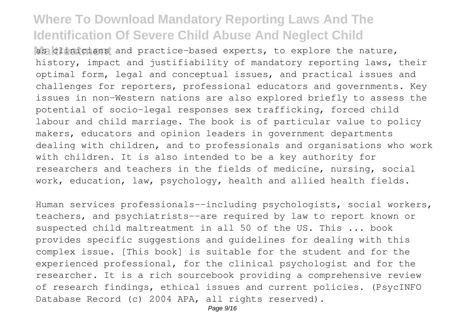**Mas clinicians** and practice-based experts, to explore the nature, history, impact and justifiability of mandatory reporting laws, their optimal form, legal and conceptual issues, and practical issues and challenges for reporters, professional educators and governments. Key issues in non-Western nations are also explored briefly to assess the potential of socio-legal responses sex trafficking, forced child labour and child marriage. The book is of particular value to policy makers, educators and opinion leaders in government departments dealing with children, and to professionals and organisations who work with children. It is also intended to be a key authority for researchers and teachers in the fields of medicine, nursing, social work, education, law, psychology, health and allied health fields.

Human services professionals--including psychologists, social workers, teachers, and psychiatrists--are required by law to report known or suspected child maltreatment in all 50 of the US. This ... book provides specific suggestions and guidelines for dealing with this complex issue. [This book] is suitable for the student and for the experienced professional, for the clinical psychologist and for the researcher. It is a rich sourcebook providing a comprehensive review of research findings, ethical issues and current policies. (PsycINFO Database Record (c) 2004 APA, all rights reserved).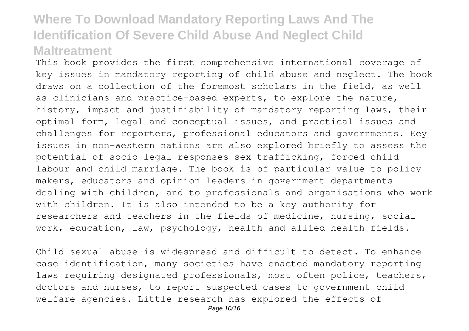This book provides the first comprehensive international coverage of key issues in mandatory reporting of child abuse and neglect. The book draws on a collection of the foremost scholars in the field, as well as clinicians and practice-based experts, to explore the nature, history, impact and justifiability of mandatory reporting laws, their optimal form, legal and conceptual issues, and practical issues and challenges for reporters, professional educators and governments. Key issues in non-Western nations are also explored briefly to assess the potential of socio-legal responses sex trafficking, forced child labour and child marriage. The book is of particular value to policy makers, educators and opinion leaders in government departments dealing with children, and to professionals and organisations who work with children. It is also intended to be a key authority for researchers and teachers in the fields of medicine, nursing, social work, education, law, psychology, health and allied health fields.

Child sexual abuse is widespread and difficult to detect. To enhance case identification, many societies have enacted mandatory reporting laws requiring designated professionals, most often police, teachers, doctors and nurses, to report suspected cases to government child welfare agencies. Little research has explored the effects of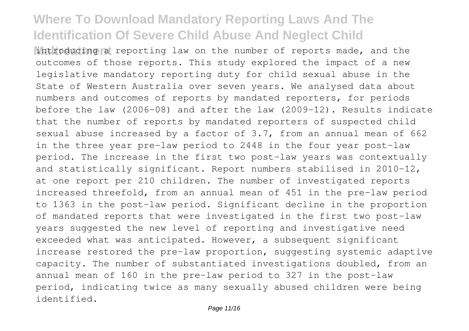**Maltreatment** introducing a reporting law on the number of reports made, and the outcomes of those reports. This study explored the impact of a new legislative mandatory reporting duty for child sexual abuse in the State of Western Australia over seven years. We analysed data about numbers and outcomes of reports by mandated reporters, for periods before the law (2006-08) and after the law (2009-12). Results indicate that the number of reports by mandated reporters of suspected child sexual abuse increased by a factor of 3.7, from an annual mean of 662 in the three year pre-law period to 2448 in the four year post-law period. The increase in the first two post-law years was contextually and statistically significant. Report numbers stabilised in 2010-12, at one report per 210 children. The number of investigated reports increased threefold, from an annual mean of 451 in the pre-law period to 1363 in the post-law period. Significant decline in the proportion of mandated reports that were investigated in the first two post-law years suggested the new level of reporting and investigative need exceeded what was anticipated. However, a subsequent significant increase restored the pre-law proportion, suggesting systemic adaptive capacity. The number of substantiated investigations doubled, from an annual mean of 160 in the pre-law period to 327 in the post-law period, indicating twice as many sexually abused children were being identified.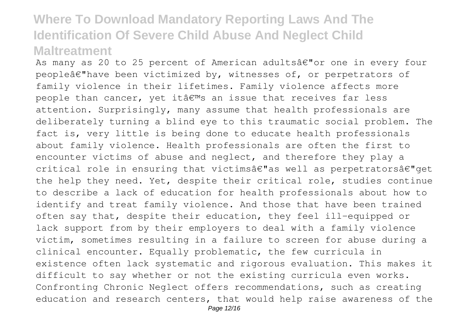As many as 20 to 25 percent of American adultsâ€"or one in every four peopleâ€"have been victimized by, witnesses of, or perpetrators of family violence in their lifetimes. Family violence affects more people than cancer, yet it  $\hat{a} \in \mathbb{R}^m$ s an issue that receives far less attention. Surprisingly, many assume that health professionals are deliberately turning a blind eye to this traumatic social problem. The fact is, very little is being done to educate health professionals about family violence. Health professionals are often the first to encounter victims of abuse and neglect, and therefore they play a critical role in ensuring that victimsâ€"as well as perpetratorsâ€"get the help they need. Yet, despite their critical role, studies continue to describe a lack of education for health professionals about how to identify and treat family violence. And those that have been trained often say that, despite their education, they feel ill-equipped or lack support from by their employers to deal with a family violence victim, sometimes resulting in a failure to screen for abuse during a clinical encounter. Equally problematic, the few curricula in existence often lack systematic and rigorous evaluation. This makes it difficult to say whether or not the existing curricula even works. Confronting Chronic Neglect offers recommendations, such as creating education and research centers, that would help raise awareness of the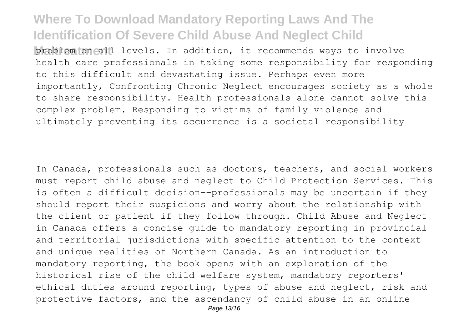**Matter** problem formall levels. In addition, it recommends ways to involve health care professionals in taking some responsibility for responding to this difficult and devastating issue. Perhaps even more importantly, Confronting Chronic Neglect encourages society as a whole to share responsibility. Health professionals alone cannot solve this complex problem. Responding to victims of family violence and ultimately preventing its occurrence is a societal responsibility

In Canada, professionals such as doctors, teachers, and social workers must report child abuse and neglect to Child Protection Services. This is often a difficult decision--professionals may be uncertain if they should report their suspicions and worry about the relationship with the client or patient if they follow through. Child Abuse and Neglect in Canada offers a concise guide to mandatory reporting in provincial and territorial jurisdictions with specific attention to the context and unique realities of Northern Canada. As an introduction to mandatory reporting, the book opens with an exploration of the historical rise of the child welfare system, mandatory reporters' ethical duties around reporting, types of abuse and neglect, risk and protective factors, and the ascendancy of child abuse in an online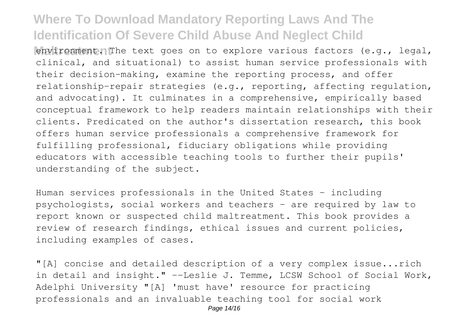**Manual Environment in The text goes on to explore various factors (e.g., legal,** clinical, and situational) to assist human service professionals with their decision-making, examine the reporting process, and offer relationship-repair strategies (e.g., reporting, affecting regulation, and advocating). It culminates in a comprehensive, empirically based conceptual framework to help readers maintain relationships with their clients. Predicated on the author's dissertation research, this book offers human service professionals a comprehensive framework for fulfilling professional, fiduciary obligations while providing educators with accessible teaching tools to further their pupils' understanding of the subject.

Human services professionals in the United States - including psychologists, social workers and teachers - are required by law to report known or suspected child maltreatment. This book provides a review of research findings, ethical issues and current policies, including examples of cases.

"[A] concise and detailed description of a very complex issue...rich in detail and insight." --Leslie J. Temme, LCSW School of Social Work, Adelphi University "[A] 'must have' resource for practicing professionals and an invaluable teaching tool for social work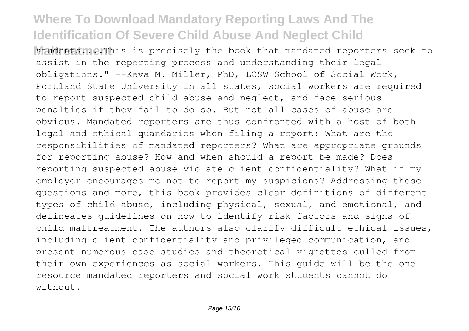**Matudents me. This is precisely the book that mandated reporters seek to** assist in the reporting process and understanding their legal obligations." --Keva M. Miller, PhD, LCSW School of Social Work, Portland State University In all states, social workers are required to report suspected child abuse and neglect, and face serious penalties if they fail to do so. But not all cases of abuse are obvious. Mandated reporters are thus confronted with a host of both legal and ethical quandaries when filing a report: What are the responsibilities of mandated reporters? What are appropriate grounds for reporting abuse? How and when should a report be made? Does reporting suspected abuse violate client confidentiality? What if my employer encourages me not to report my suspicions? Addressing these questions and more, this book provides clear definitions of different types of child abuse, including physical, sexual, and emotional, and delineates guidelines on how to identify risk factors and signs of child maltreatment. The authors also clarify difficult ethical issues, including client confidentiality and privileged communication, and present numerous case studies and theoretical vignettes culled from their own experiences as social workers. This guide will be the one resource mandated reporters and social work students cannot do without.